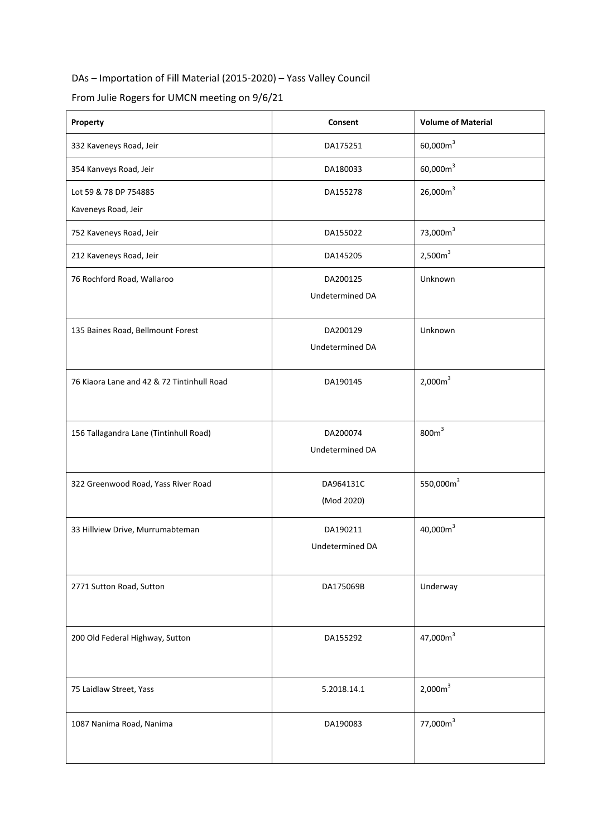## DAs – Importation of Fill Material (2015-2020) – Yass Valley Council

From Julie Rogers for UMCN meeting on 9/6/21

| Property                                     | Consent                     | <b>Volume of Material</b> |
|----------------------------------------------|-----------------------------|---------------------------|
| 332 Kaveneys Road, Jeir                      | DA175251                    | $60,000m^3$               |
| 354 Kanveys Road, Jeir                       | DA180033                    | $60,000m^3$               |
| Lot 59 & 78 DP 754885<br>Kaveneys Road, Jeir | DA155278                    | 26,000m <sup>3</sup>      |
| 752 Kaveneys Road, Jeir                      | DA155022                    | 73,000m <sup>3</sup>      |
| 212 Kaveneys Road, Jeir                      | DA145205                    | 2,500m <sup>3</sup>       |
| 76 Rochford Road, Wallaroo                   | DA200125<br>Undetermined DA | Unknown                   |
| 135 Baines Road, Bellmount Forest            | DA200129<br>Undetermined DA | Unknown                   |
| 76 Kiaora Lane and 42 & 72 Tintinhull Road   | DA190145                    | 2,000m <sup>3</sup>       |
| 156 Tallagandra Lane (Tintinhull Road)       | DA200074<br>Undetermined DA | 800m <sup>3</sup>         |
| 322 Greenwood Road, Yass River Road          | DA964131C<br>(Mod 2020)     | 550,000m <sup>3</sup>     |
| 33 Hillview Drive, Murrumabteman             | DA190211<br>Undetermined DA | 40,000 $m3$               |
| 2771 Sutton Road, Sutton                     | DA175069B                   | Underway                  |
| 200 Old Federal Highway, Sutton              | DA155292                    | 47,000m <sup>3</sup>      |
| 75 Laidlaw Street, Yass                      | 5.2018.14.1                 | 2,000m <sup>3</sup>       |
| 1087 Nanima Road, Nanima                     | DA190083                    | 77,000m <sup>3</sup>      |